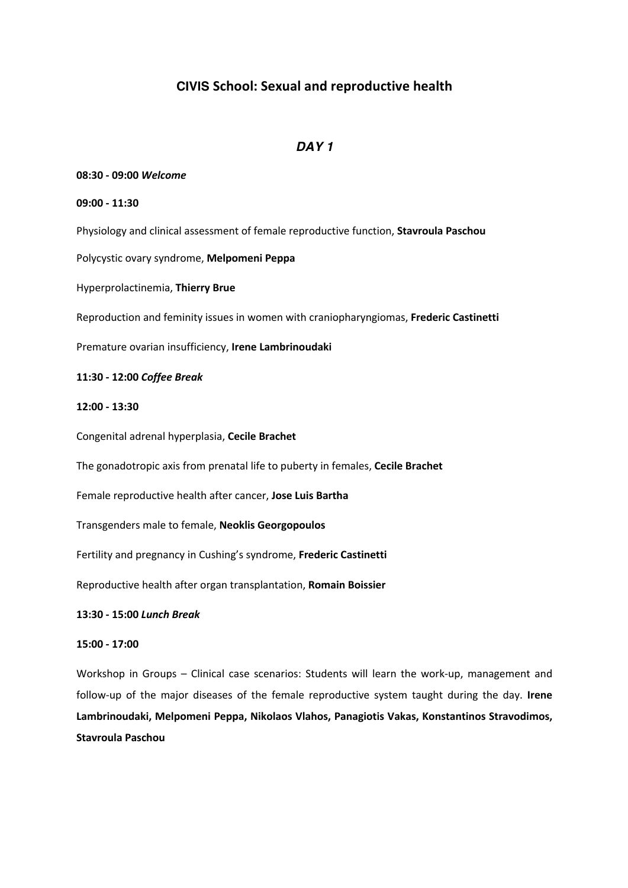# **CIVIS School: Sexual and reproductive health**

# *DAY 1*

## **08:30 - 09:00** *Welcome*

#### **09:00 - 11:30**

Physiology and clinical assessment of female reproductive function, **Stavroula Paschou**

Polycystic ovary syndrome, **Melpomeni Peppa**

Hyperprolactinemia, **Thierry Brue**

Reproduction and feminity issues in women with craniopharyngiomas, **Frederic Castinetti**

Premature ovarian insufficiency, **Irene Lambrinoudaki**

## **11:30 - 12:00** *Coffee Break*

## **12:00 - 13:30**

Congenital adrenal hyperplasia, **Cecile Brachet**

The gonadotropic axis from prenatal life to puberty in females, **Cecile Brachet**

Female reproductive health after cancer, **Jose Luis Bartha**

Transgenders male to female, **Neoklis Georgopoulos**

Fertility and pregnancy in Cushing's syndrome, **Frederic Castinetti**

Reproductive health after organ transplantation, **Romain Boissier**

#### **13:30 - 15:00** *Lunch Break*

## **15:00 - 17:00**

Workshop in Groups – Clinical case scenarios: Students will learn the work-up, management and follow-up of the major diseases of the female reproductive system taught during the day. **Irene Lambrinoudaki, Melpomeni Peppa, Nikolaos Vlahos, Panagiotis Vakas, Konstantinos Stravodimos, Stavroula Paschou**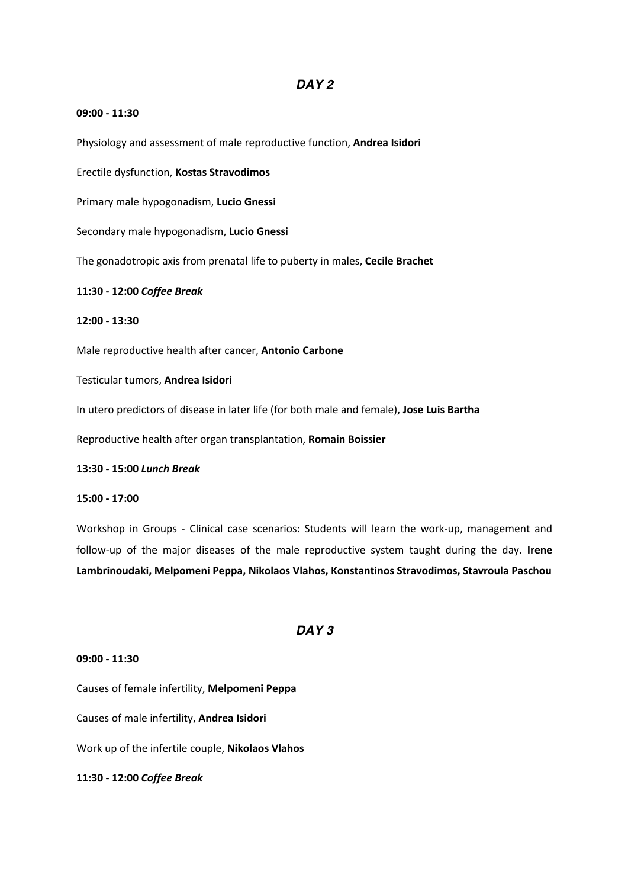## *DAY 2*

#### **09:00 - 11:30**

Physiology and assessment of male reproductive function, **Andrea Isidori**

Erectile dysfunction, **Kostas Stravodimos**

Primary male hypogonadism, **Lucio Gnessi**

Secondary male hypogonadism, **Lucio Gnessi**

The gonadotropic axis from prenatal life to puberty in males, **Cecile Brachet**

#### **11:30 - 12:00** *Coffee Break*

## **12:00 - 13:30**

Male reproductive health after cancer, **Antonio Carbone**

Testicular tumors, **Andrea Isidori**

In utero predictors of disease in later life (for both male and female), **Jose Luis Bartha**

Reproductive health after organ transplantation, **Romain Boissier**

**13:30 - 15:00** *Lunch Break*

## **15:00 - 17:00**

Workshop in Groups - Clinical case scenarios: Students will learn the work-up, management and follow-up of the major diseases of the male reproductive system taught during the day. **Irene Lambrinoudaki, Melpomeni Peppa, Nikolaos Vlahos, Konstantinos Stravodimos, Stavroula Paschou**

## *DAY 3*

### **09:00 - 11:30**

Causes of female infertility, **Melpomeni Peppa**

Causes of male infertility, **Andrea Isidori**

Work up of the infertile couple, **Nikolaos Vlahos**

#### **11:30 - 12:00** *Coffee Break*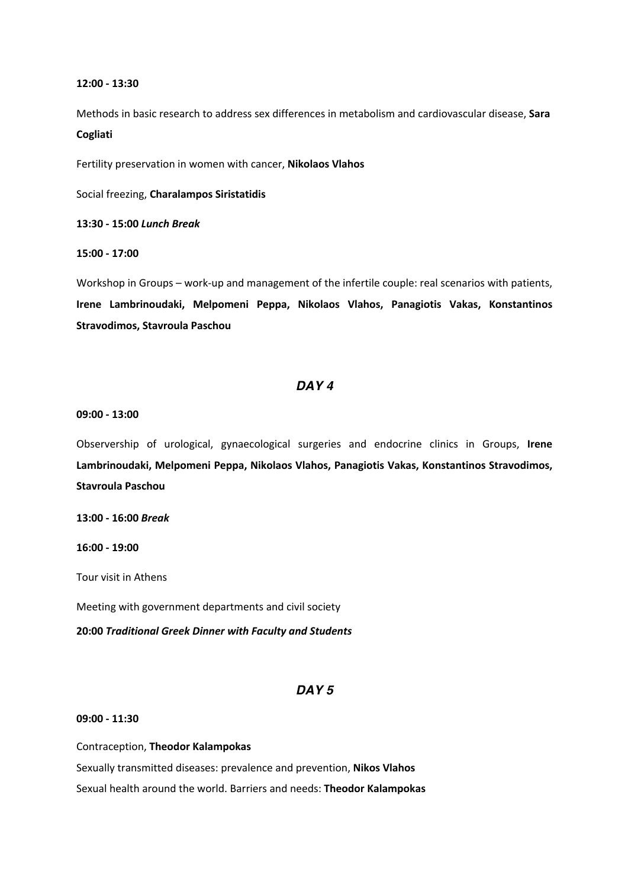#### **12:00 - 13:30**

Methods in basic research to address sex differences in metabolism and cardiovascular disease, **Sara** 

## **Cogliati**

Fertility preservation in women with cancer, **Nikolaos Vlahos**

Social freezing, **Charalampos Siristatidis**

**13:30 - 15:00** *Lunch Break*

#### **15:00 - 17:00**

Workshop in Groups – work-up and management of the infertile couple: real scenarios with patients, **Irene Lambrinoudaki, Melpomeni Peppa, Nikolaos Vlahos, Panagiotis Vakas, Konstantinos Stravodimos, Stavroula Paschou**

## *DAY 4*

#### **09:00 - 13:00**

Observership of urological, gynaecological surgeries and endocrine clinics in Groups, **Irene Lambrinoudaki, Melpomeni Peppa, Nikolaos Vlahos, Panagiotis Vakas, Konstantinos Stravodimos, Stavroula Paschou**

**13:00 - 16:00** *Break*

## **16:00 - 19:00**

Tour visit in Athens

Meeting with government departments and civil society

**20:00** *Traditional Greek Dinner with Faculty and Students*

## *DAY 5*

#### **09:00 - 11:30**

## Contraception, **Theodor Kalampokas**

Sexually transmitted diseases: prevalence and prevention, **Nikos Vlahos** Sexual health around the world. Barriers and needs: **Theodor Kalampokas**